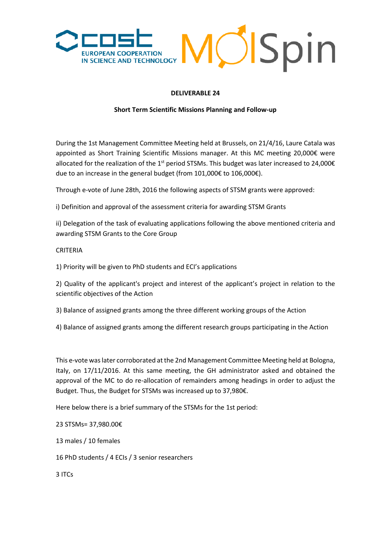

## **DELIVERABLE 24**

## **Short Term Scientific Missions Planning and Follow-up**

During the 1st Management Committee Meeting held at Brussels, on 21/4/16, Laure Catala was appointed as Short Training Scientific Missions manager. At this MC meeting 20,000€ were allocated for the realization of the 1<sup>st</sup> period STSMs. This budget was later increased to 24,000 $\epsilon$ due to an increase in the general budget (from 101,000€ to 106,000€).

Through e-vote of June 28th, 2016 the following aspects of STSM grants were approved:

i) Definition and approval of the assessment criteria for awarding STSM Grants

ii) Delegation of the task of evaluating applications following the above mentioned criteria and awarding STSM Grants to the Core Group

## CRITERIA

1) Priority will be given to PhD students and ECI's applications

2) Quality of the applicant's project and interest of the applicant's project in relation to the scientific objectives of the Action

3) Balance of assigned grants among the three different working groups of the Action

4) Balance of assigned grants among the different research groups participating in the Action

This e-vote was later corroborated at the 2nd Management Committee Meeting held at Bologna, Italy, on 17/11/2016. At this same meeting, the GH administrator asked and obtained the approval of the MC to do re-allocation of remainders among headings in order to adjust the Budget. Thus, the Budget for STSMs was increased up to 37,980€.

Here below there is a brief summary of the STSMs for the 1st period:

23 STSMs= 37,980.00€

13 males / 10 females

16 PhD students / 4 ECIs / 3 senior researchers

3 ITCs